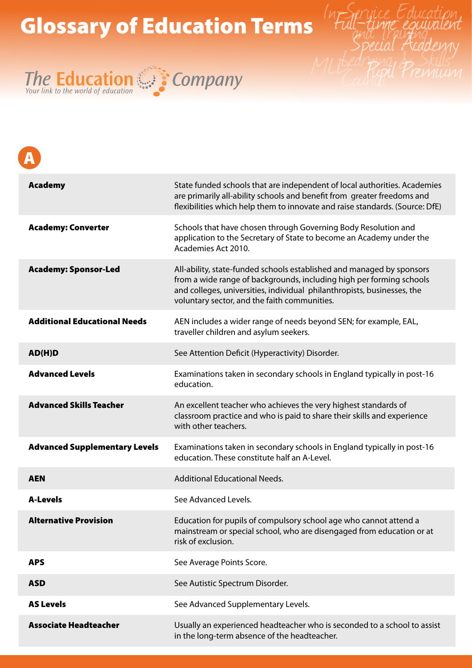## Glossary of Education Terms





| <b>Academy</b>                       | State funded schools that are independent of local authorities. Academies<br>are primarily all-ability schools and benefit from greater freedoms and<br>flexibilities which help them to innovate and raise standards. (Source: DfE)                                     |
|--------------------------------------|--------------------------------------------------------------------------------------------------------------------------------------------------------------------------------------------------------------------------------------------------------------------------|
| <b>Academy: Converter</b>            | Schools that have chosen through Governing Body Resolution and<br>application to the Secretary of State to become an Academy under the<br>Academies Act 2010.                                                                                                            |
| <b>Academy: Sponsor-Led</b>          | All-ability, state-funded schools established and managed by sponsors<br>from a wide range of backgrounds, including high per forming schools<br>and colleges, universities, individual philanthropists, businesses, the<br>voluntary sector, and the faith communities. |
| <b>Additional Educational Needs</b>  | AEN includes a wider range of needs beyond SEN; for example, EAL,<br>traveller children and asylum seekers.                                                                                                                                                              |
| AD(H)D                               | See Attention Deficit (Hyperactivity) Disorder.                                                                                                                                                                                                                          |
| <b>Advanced Levels</b>               | Examinations taken in secondary schools in England typically in post-16<br>education.                                                                                                                                                                                    |
| <b>Advanced Skills Teacher</b>       | An excellent teacher who achieves the very highest standards of<br>classroom practice and who is paid to share their skills and experience<br>with other teachers.                                                                                                       |
| <b>Advanced Supplementary Levels</b> | Examinations taken in secondary schools in England typically in post-16<br>education. These constitute half an A-Level.                                                                                                                                                  |
| <b>AEN</b>                           | <b>Additional Educational Needs.</b>                                                                                                                                                                                                                                     |
| <b>A-Levels</b>                      | See Advanced Levels.                                                                                                                                                                                                                                                     |
| <b>Alternative Provision</b>         | Education for pupils of compulsory school age who cannot attend a<br>mainstream or special school, who are disengaged from education or at<br>risk of exclusion.                                                                                                         |
| <b>APS</b>                           | See Average Points Score.                                                                                                                                                                                                                                                |
| <b>ASD</b>                           | See Autistic Spectrum Disorder.                                                                                                                                                                                                                                          |
| <b>AS Levels</b>                     | See Advanced Supplementary Levels.                                                                                                                                                                                                                                       |
| <b>Associate Headteacher</b>         | Usually an experienced headteacher who is seconded to a school to assist<br>in the long-term absence of the headteacher.                                                                                                                                                 |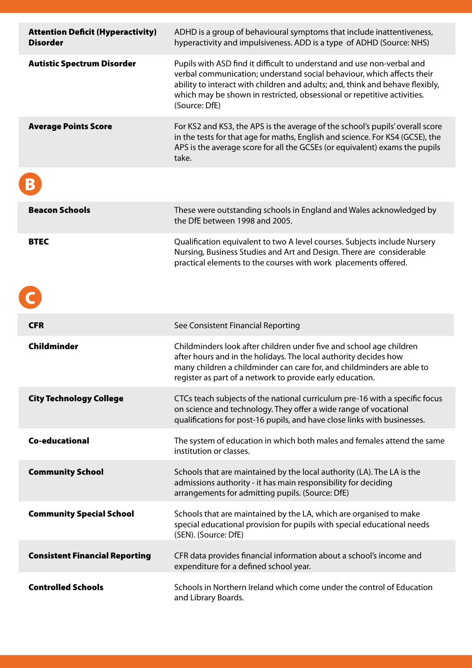| <b>Attention Deficit (Hyperactivity)</b><br><b>Disorder</b> | ADHD is a group of behavioural symptoms that include inattentiveness,<br>hyperactivity and impulsiveness. ADD is a type of ADHD (Source: NHS)                                                                                                                                                                                 |
|-------------------------------------------------------------|-------------------------------------------------------------------------------------------------------------------------------------------------------------------------------------------------------------------------------------------------------------------------------------------------------------------------------|
| <b>Autistic Spectrum Disorder</b>                           | Pupils with ASD find it difficult to understand and use non-verbal and<br>verbal communication; understand social behaviour, which affects their<br>ability to interact with children and adults; and, think and behave flexibly,<br>which may be shown in restricted, obsessional or repetitive activities.<br>(Source: DfE) |
| <b>Average Points Score</b>                                 | For KS2 and KS3, the APS is the average of the school's pupils' overall score<br>in the tests for that age for maths, English and science. For KS4 (GCSE), the<br>APS is the average score for all the GCSEs (or equivalent) exams the pupils<br>take.                                                                        |
|                                                             |                                                                                                                                                                                                                                                                                                                               |
| <b>Beacon Schools</b>                                       | These were outstanding schools in England and Wales acknowledged by<br>the DfE between 1998 and 2005.                                                                                                                                                                                                                         |
| <b>BTEC</b>                                                 | Qualification equivalent to two A level courses. Subjects include Nursery<br>Nursing, Business Studies and Art and Design. There are considerable<br>practical elements to the courses with work placements offered.                                                                                                          |
| <b>CFR</b>                                                  |                                                                                                                                                                                                                                                                                                                               |
|                                                             | See Consistent Financial Reporting                                                                                                                                                                                                                                                                                            |
| Childminder                                                 | Childminders look after children under five and school age children<br>after hours and in the holidays. The local authority decides how<br>many children a childminder can care for, and childminders are able to<br>register as part of a network to provide early education.                                                |
| <b>City Technology College</b>                              | CTCs teach subjects of the national curriculum pre-16 with a specific focus<br>on science and technology. They offer a wide range of vocational<br>qualifications for post-16 pupils, and have close links with businesses.                                                                                                   |
|                                                             |                                                                                                                                                                                                                                                                                                                               |
| <b>Co-educational</b>                                       | The system of education in which both males and females attend the same<br>institution or classes.                                                                                                                                                                                                                            |
| <b>Community School</b>                                     | Schools that are maintained by the local authority (LA). The LA is the<br>admissions authority - it has main responsibility for deciding<br>arrangements for admitting pupils. (Source: DfE)                                                                                                                                  |
| <b>Community Special School</b>                             | Schools that are maintained by the LA, which are organised to make<br>special educational provision for pupils with special educational needs<br>(SEN). (Source: DfE)                                                                                                                                                         |
| <b>Consistent Financial Reporting</b>                       | CFR data provides financial information about a school's income and<br>expenditure for a defined school year.                                                                                                                                                                                                                 |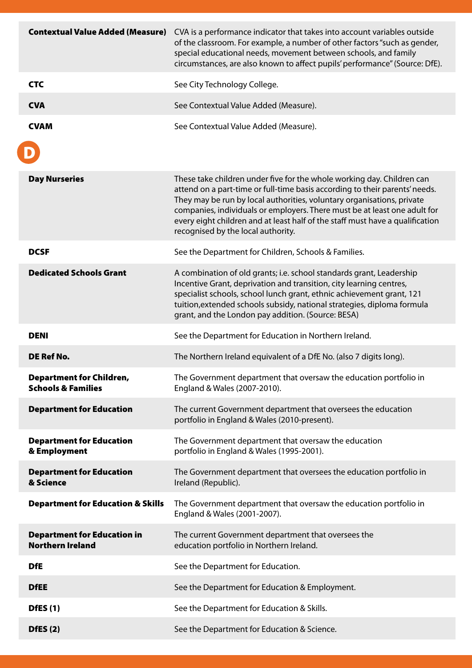|                                                                 | <b>Contextual Value Added (Measure)</b> CVA is a performance indicator that takes into account variables outside<br>of the classroom. For example, a number of other factors "such as gender,<br>special educational needs, movement between schools, and family<br>circumstances, are also known to affect pupils' performance" (Source: DfE).                                                                                     |
|-----------------------------------------------------------------|-------------------------------------------------------------------------------------------------------------------------------------------------------------------------------------------------------------------------------------------------------------------------------------------------------------------------------------------------------------------------------------------------------------------------------------|
| <b>CTC</b>                                                      | See City Technology College.                                                                                                                                                                                                                                                                                                                                                                                                        |
| <b>CVA</b>                                                      | See Contextual Value Added (Measure).                                                                                                                                                                                                                                                                                                                                                                                               |
| <b>CVAM</b>                                                     | See Contextual Value Added (Measure).                                                                                                                                                                                                                                                                                                                                                                                               |
| <b>Day Nurseries</b>                                            | These take children under five for the whole working day. Children can<br>attend on a part-time or full-time basis according to their parents' needs.<br>They may be run by local authorities, voluntary organisations, private<br>companies, individuals or employers. There must be at least one adult for<br>every eight children and at least half of the staff must have a qualification<br>recognised by the local authority. |
| <b>DCSF</b>                                                     | See the Department for Children, Schools & Families.                                                                                                                                                                                                                                                                                                                                                                                |
| <b>Dedicated Schools Grant</b>                                  | A combination of old grants; i.e. school standards grant, Leadership<br>Incentive Grant, deprivation and transition, city learning centres,<br>specialist schools, school lunch grant, ethnic achievement grant, 121<br>tuition, extended schools subsidy, national strategies, diploma formula<br>grant, and the London pay addition. (Source: BESA)                                                                               |
| <b>DENI</b>                                                     | See the Department for Education in Northern Ireland.                                                                                                                                                                                                                                                                                                                                                                               |
| <b>DE Ref No.</b>                                               | The Northern Ireland equivalent of a DfE No. (also 7 digits long).                                                                                                                                                                                                                                                                                                                                                                  |
| <b>Department for Children</b><br><b>Schools &amp; Families</b> | The Government department that oversaw the education portfolio in<br>England & Wales (2007-2010).                                                                                                                                                                                                                                                                                                                                   |
| <b>Department for Education</b>                                 | The current Government department that oversees the education<br>portfolio in England & Wales (2010-present).                                                                                                                                                                                                                                                                                                                       |
| <b>Department for Education</b><br>& Employment                 | The Government department that oversaw the education<br>portfolio in England & Wales (1995-2001).                                                                                                                                                                                                                                                                                                                                   |
| <b>Department for Education</b><br>& Science                    | The Government department that oversees the education portfolio in<br>Ireland (Republic).                                                                                                                                                                                                                                                                                                                                           |
| <b>Department for Education &amp; Skills</b>                    | The Government department that oversaw the education portfolio in<br>England & Wales (2001-2007).                                                                                                                                                                                                                                                                                                                                   |
| <b>Department for Education in</b><br><b>Northern Ireland</b>   | The current Government department that oversees the<br>education portfolio in Northern Ireland.                                                                                                                                                                                                                                                                                                                                     |
| <b>DfE</b>                                                      | See the Department for Education.                                                                                                                                                                                                                                                                                                                                                                                                   |
| <b>DfEE</b>                                                     | See the Department for Education & Employment.                                                                                                                                                                                                                                                                                                                                                                                      |
| <b>DfES</b> (1)                                                 | See the Department for Education & Skills.                                                                                                                                                                                                                                                                                                                                                                                          |
| DfES(2)                                                         | See the Department for Education & Science.                                                                                                                                                                                                                                                                                                                                                                                         |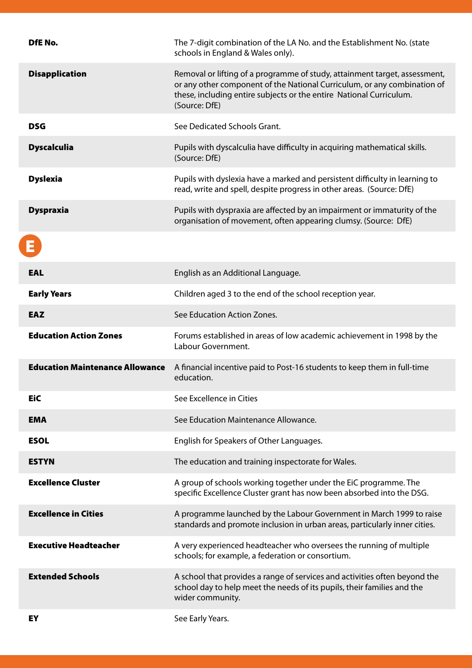| DfE No.                                | The 7-digit combination of the LA No. and the Establishment No. (state<br>schools in England & Wales only).                                                                                                                                    |
|----------------------------------------|------------------------------------------------------------------------------------------------------------------------------------------------------------------------------------------------------------------------------------------------|
| <b>Disapplication</b>                  | Removal or lifting of a programme of study, attainment target, assessment,<br>or any other component of the National Curriculum, or any combination of<br>these, including entire subjects or the entire National Curriculum.<br>(Source: DfE) |
| <b>DSG</b>                             | See Dedicated Schools Grant.                                                                                                                                                                                                                   |
| <b>Dyscalculia</b>                     | Pupils with dyscalculia have difficulty in acquiring mathematical skills.<br>(Source: DfE)                                                                                                                                                     |
| <b>Dyslexia</b>                        | Pupils with dyslexia have a marked and persistent difficulty in learning to<br>read, write and spell, despite progress in other areas. (Source: DfE)                                                                                           |
| <b>Dyspraxia</b>                       | Pupils with dyspraxia are affected by an impairment or immaturity of the<br>organisation of movement, often appearing clumsy. (Source: DfE)                                                                                                    |
|                                        |                                                                                                                                                                                                                                                |
| <b>EAL</b>                             | English as an Additional Language.                                                                                                                                                                                                             |
| <b>Early Years</b>                     | Children aged 3 to the end of the school reception year.                                                                                                                                                                                       |
| <b>EAZ</b>                             | See Education Action Zones.                                                                                                                                                                                                                    |
|                                        |                                                                                                                                                                                                                                                |
| <b>Education Action Zones</b>          | Forums established in areas of low academic achievement in 1998 by the<br>Labour Government.                                                                                                                                                   |
| <b>Education Maintenance Allowance</b> | A financial incentive paid to Post-16 students to keep them in full-time<br>education.                                                                                                                                                         |
| <b>EiC</b>                             | See Excellence in Cities                                                                                                                                                                                                                       |
| <b>EMA</b>                             | See Education Maintenance Allowance.                                                                                                                                                                                                           |
| <b>ESOL</b>                            | English for Speakers of Other Languages.                                                                                                                                                                                                       |
| <b>ESTYN</b>                           | The education and training inspectorate for Wales.                                                                                                                                                                                             |
| <b>Excellence Cluster</b>              | A group of schools working together under the EiC programme. The<br>specific Excellence Cluster grant has now been absorbed into the DSG.                                                                                                      |
| <b>Excellence in Cities</b>            | A programme launched by the Labour Government in March 1999 to raise<br>standards and promote inclusion in urban areas, particularly inner cities.                                                                                             |
| <b>Executive Headteacher</b>           | A very experienced headteacher who oversees the running of multiple<br>schools; for example, a federation or consortium.                                                                                                                       |
| <b>Extended Schools</b>                | A school that provides a range of services and activities often beyond the<br>school day to help meet the needs of its pupils, their families and the<br>wider community.                                                                      |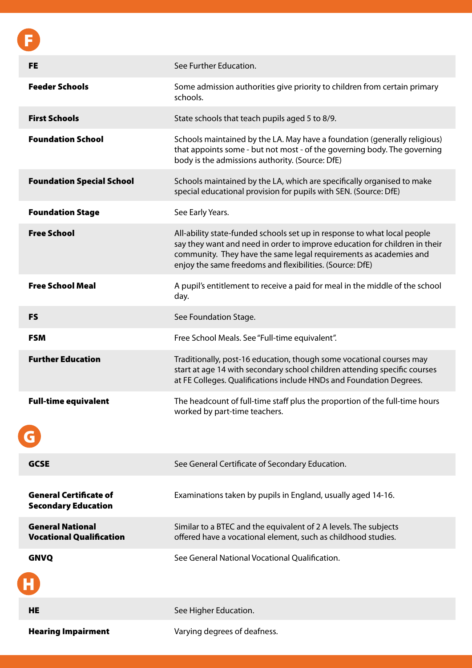| <b>FE</b>                                                   | See Further Education.                                                                                                                                                                                                                                                                  |
|-------------------------------------------------------------|-----------------------------------------------------------------------------------------------------------------------------------------------------------------------------------------------------------------------------------------------------------------------------------------|
| <b>Feeder Schools</b>                                       | Some admission authorities give priority to children from certain primary<br>schools.                                                                                                                                                                                                   |
| <b>First Schools</b>                                        | State schools that teach pupils aged 5 to 8/9.                                                                                                                                                                                                                                          |
| <b>Foundation School</b>                                    | Schools maintained by the LA. May have a foundation (generally religious)<br>that appoints some - but not most - of the governing body. The governing<br>body is the admissions authority. (Source: DfE)                                                                                |
| <b>Foundation Special School</b>                            | Schools maintained by the LA, which are specifically organised to make<br>special educational provision for pupils with SEN. (Source: DfE)                                                                                                                                              |
| <b>Foundation Stage</b>                                     | See Early Years.                                                                                                                                                                                                                                                                        |
| <b>Free School</b>                                          | All-ability state-funded schools set up in response to what local people<br>say they want and need in order to improve education for children in their<br>community. They have the same legal requirements as academies and<br>enjoy the same freedoms and flexibilities. (Source: DfE) |
| <b>Free School Meal</b>                                     | A pupil's entitlement to receive a paid for meal in the middle of the school<br>day.                                                                                                                                                                                                    |
| <b>FS</b>                                                   | See Foundation Stage.                                                                                                                                                                                                                                                                   |
| <b>FSM</b>                                                  | Free School Meals. See "Full-time equivalent".                                                                                                                                                                                                                                          |
| <b>Further Education</b>                                    | Traditionally, post-16 education, though some vocational courses may<br>start at age 14 with secondary school children attending specific courses<br>at FE Colleges. Qualifications include HNDs and Foundation Degrees.                                                                |
| <b>Full-time equivalent</b>                                 | The headcount of full-time staff plus the proportion of the full-time hours<br>worked by part-time teachers.                                                                                                                                                                            |
| <b>GCSE</b>                                                 | See General Certificate of Secondary Education.                                                                                                                                                                                                                                         |
| <b>General Certificate of</b><br><b>Secondary Education</b> | Examinations taken by pupils in England, usually aged 14-16.                                                                                                                                                                                                                            |
| <b>General National</b><br><b>Vocational Qualification</b>  | Similar to a BTEC and the equivalent of 2 A levels. The subjects<br>offered have a vocational element, such as childhood studies.                                                                                                                                                       |
| <b>GNVQ</b>                                                 | See General National Vocational Oualification.                                                                                                                                                                                                                                          |
| <b>HE</b>                                                   | See Higher Education.                                                                                                                                                                                                                                                                   |
| <b>Hearing Impairment</b>                                   | Varying degrees of deafness.                                                                                                                                                                                                                                                            |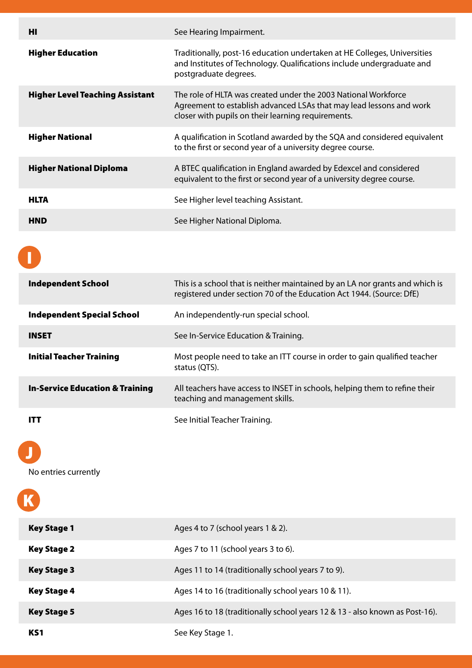| нı                                     | See Hearing Impairment.                                                                                                                                                                     |
|----------------------------------------|---------------------------------------------------------------------------------------------------------------------------------------------------------------------------------------------|
| <b>Higher Education</b>                | Traditionally, post-16 education undertaken at HE Colleges, Universities<br>and Institutes of Technology. Qualifications include undergraduate and<br>postgraduate degrees.                 |
| <b>Higher Level Teaching Assistant</b> | The role of HLTA was created under the 2003 National Workforce<br>Agreement to establish advanced LSAs that may lead lessons and work<br>closer with pupils on their learning requirements. |
| <b>Higher National</b>                 | A qualification in Scotland awarded by the SQA and considered equivalent<br>to the first or second year of a university degree course.                                                      |
| <b>Higher National Diploma</b>         | A BTEC qualification in England awarded by Edexcel and considered<br>equivalent to the first or second year of a university degree course.                                                  |
| <b>HLTA</b>                            | See Higher level teaching Assistant.                                                                                                                                                        |
| <b>HND</b>                             | See Higher National Diploma.                                                                                                                                                                |

| <b>Independent School</b>                  | This is a school that is neither maintained by an LA nor grants and which is<br>registered under section 70 of the Education Act 1944. (Source: DfE) |
|--------------------------------------------|------------------------------------------------------------------------------------------------------------------------------------------------------|
| <b>Independent Special School</b>          | An independently-run special school.                                                                                                                 |
| <b>INSET</b>                               | See In-Service Education & Training.                                                                                                                 |
| <b>Initial Teacher Training</b>            | Most people need to take an ITT course in order to gain qualified teacher<br>status (QTS).                                                           |
| <b>In-Service Education &amp; Training</b> | All teachers have access to INSET in schools, helping them to refine their<br>teaching and management skills.                                        |
| ITT                                        | See Initial Teacher Training.                                                                                                                        |

## J

No entries currently

| <b>Key Stage 1</b> | Ages 4 to 7 (school years 1 & 2).                                           |
|--------------------|-----------------------------------------------------------------------------|
| <b>Key Stage 2</b> | Ages 7 to 11 (school years 3 to 6).                                         |
| <b>Key Stage 3</b> | Ages 11 to 14 (traditionally school years 7 to 9).                          |
| <b>Key Stage 4</b> | Ages 14 to 16 (traditionally school years 10 & 11).                         |
| <b>Key Stage 5</b> | Ages 16 to 18 (traditionally school years 12 & 13 - also known as Post-16). |
| KS <sub>1</sub>    | See Key Stage 1.                                                            |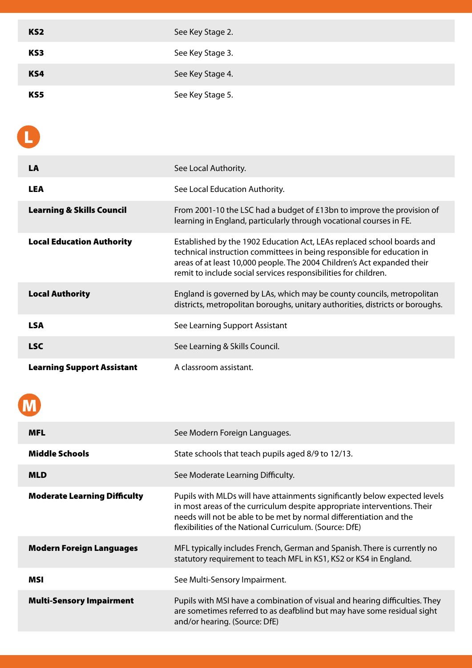| KS <sub>2</sub> | See Key Stage 2. |
|-----------------|------------------|
| KS3             | See Key Stage 3. |
| KS4             | See Key Stage 4. |
| KS5             | See Key Stage 5. |

L

| <b>LA</b>                            | See Local Authority.                                                                                                                                                                                                                                                                           |
|--------------------------------------|------------------------------------------------------------------------------------------------------------------------------------------------------------------------------------------------------------------------------------------------------------------------------------------------|
| <b>LEA</b>                           | See Local Education Authority.                                                                                                                                                                                                                                                                 |
| <b>Learning &amp; Skills Council</b> | From 2001-10 the LSC had a budget of $£13bn$ to improve the provision of<br>learning in England, particularly through vocational courses in FE.                                                                                                                                                |
| <b>Local Education Authority</b>     | Established by the 1902 Education Act, LEAs replaced school boards and<br>technical instruction committees in being responsible for education in<br>areas of at least 10,000 people. The 2004 Children's Act expanded their<br>remit to include social services responsibilities for children. |
| <b>Local Authority</b>               | England is governed by LAs, which may be county councils, metropolitan<br>districts, metropolitan boroughs, unitary authorities, districts or boroughs.                                                                                                                                        |
| <b>LSA</b>                           | See Learning Support Assistant                                                                                                                                                                                                                                                                 |
| <b>LSC</b>                           | See Learning & Skills Council.                                                                                                                                                                                                                                                                 |
| <b>Learning Support Assistant</b>    | A classroom assistant.                                                                                                                                                                                                                                                                         |

| _<br>_<br>_ |  |
|-------------|--|

| <b>MFL</b>                          | See Modern Foreign Languages.                                                                                                                                                                                                                                                           |
|-------------------------------------|-----------------------------------------------------------------------------------------------------------------------------------------------------------------------------------------------------------------------------------------------------------------------------------------|
| <b>Middle Schools</b>               | State schools that teach pupils aged 8/9 to 12/13.                                                                                                                                                                                                                                      |
| <b>MLD</b>                          | See Moderate Learning Difficulty.                                                                                                                                                                                                                                                       |
| <b>Moderate Learning Difficulty</b> | Pupils with MLDs will have attainments significantly below expected levels<br>in most areas of the curriculum despite appropriate interventions. Their<br>needs will not be able to be met by normal differentiation and the<br>flexibilities of the National Curriculum. (Source: DfE) |
| <b>Modern Foreign Languages</b>     | MFL typically includes French, German and Spanish. There is currently no<br>statutory requirement to teach MFL in KS1, KS2 or KS4 in England.                                                                                                                                           |
| MSI                                 | See Multi-Sensory Impairment.                                                                                                                                                                                                                                                           |
| <b>Multi-Sensory Impairment</b>     | Pupils with MSI have a combination of visual and hearing difficulties. They<br>are sometimes referred to as deafblind but may have some residual sight<br>and/or hearing. (Source: DfE)                                                                                                 |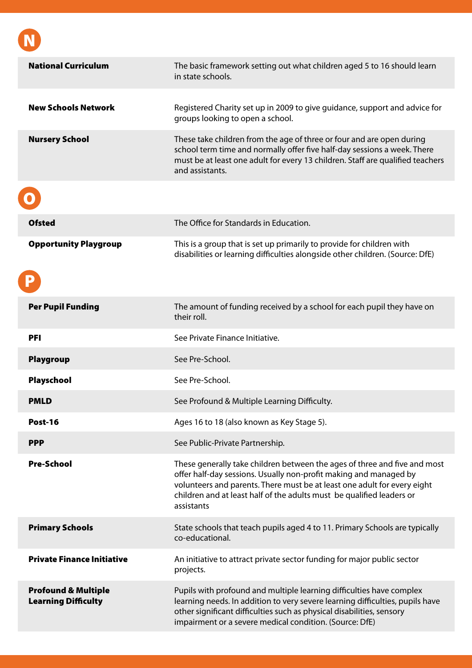| <b>National Curriculum</b>                                   | The basic framework setting out what children aged 5 to 16 should learn<br>in state schools.                                                                                                                                                                                                                      |
|--------------------------------------------------------------|-------------------------------------------------------------------------------------------------------------------------------------------------------------------------------------------------------------------------------------------------------------------------------------------------------------------|
|                                                              |                                                                                                                                                                                                                                                                                                                   |
| <b>New Schools Network</b>                                   | Registered Charity set up in 2009 to give guidance, support and advice for<br>groups looking to open a school.                                                                                                                                                                                                    |
| <b>Nursery School</b>                                        | These take children from the age of three or four and are open during<br>school term time and normally offer five half-day sessions a week. There<br>must be at least one adult for every 13 children. Staff are qualified teachers<br>and assistants.                                                            |
|                                                              |                                                                                                                                                                                                                                                                                                                   |
| <b>Ofsted</b>                                                | The Office for Standards in Education.                                                                                                                                                                                                                                                                            |
| <b>Opportunity Playgroup</b>                                 | This is a group that is set up primarily to provide for children with<br>disabilities or learning difficulties alongside other children. (Source: DfE)                                                                                                                                                            |
|                                                              |                                                                                                                                                                                                                                                                                                                   |
| <b>Per Pupil Funding</b>                                     | The amount of funding received by a school for each pupil they have on<br>their roll.                                                                                                                                                                                                                             |
| <b>PFI</b>                                                   | See Private Finance Initiative.                                                                                                                                                                                                                                                                                   |
| <b>Playgroup</b>                                             | See Pre-School.                                                                                                                                                                                                                                                                                                   |
| Playschool                                                   | See Pre-School.                                                                                                                                                                                                                                                                                                   |
| <b>PMLD</b>                                                  | See Profound & Multiple Learning Difficulty.                                                                                                                                                                                                                                                                      |
| Post-16                                                      | Ages 16 to 18 (also known as Key Stage 5).                                                                                                                                                                                                                                                                        |
| <b>PPP</b>                                                   | See Public-Private Partnership.                                                                                                                                                                                                                                                                                   |
| <b>Pre-School</b>                                            | These generally take children between the ages of three and five and most<br>offer half-day sessions. Usually non-profit making and managed by<br>volunteers and parents. There must be at least one adult for every eight<br>children and at least half of the adults must be qualified leaders or<br>assistants |
| <b>Primary Schools</b>                                       | State schools that teach pupils aged 4 to 11. Primary Schools are typically<br>co-educational.                                                                                                                                                                                                                    |
| <b>Private Finance Initiative</b>                            | An initiative to attract private sector funding for major public sector<br>projects.                                                                                                                                                                                                                              |
| <b>Profound &amp; Multiple</b><br><b>Learning Difficulty</b> | Pupils with profound and multiple learning difficulties have complex<br>learning needs. In addition to very severe learning difficulties, pupils have<br>other significant difficulties such as physical disabilities, sensory<br>impairment or a severe medical condition. (Source: DfE)                         |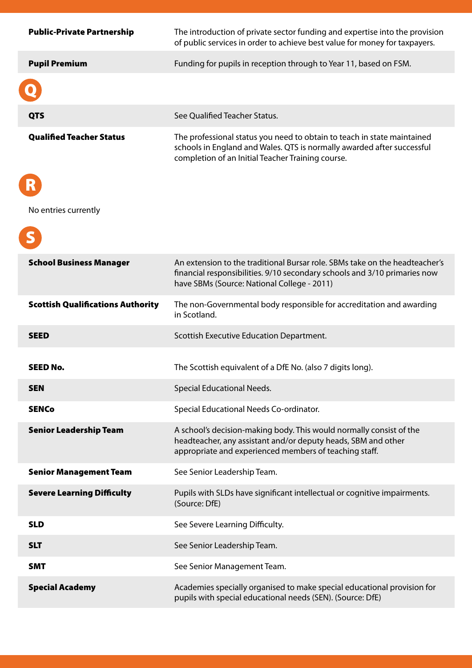| <b>Public-Private Partnership</b>        | The introduction of private sector funding and expertise into the provision<br>of public services in order to achieve best value for money for taxpayers.                                               |
|------------------------------------------|---------------------------------------------------------------------------------------------------------------------------------------------------------------------------------------------------------|
| <b>Pupil Premium</b>                     | Funding for pupils in reception through to Year 11, based on FSM.                                                                                                                                       |
|                                          |                                                                                                                                                                                                         |
| <b>QTS</b>                               | See Qualified Teacher Status.                                                                                                                                                                           |
| <b>Qualified Teacher Status</b>          | The professional status you need to obtain to teach in state maintained<br>schools in England and Wales. QTS is normally awarded after successful<br>completion of an Initial Teacher Training course.  |
|                                          |                                                                                                                                                                                                         |
| No entries currently                     |                                                                                                                                                                                                         |
|                                          |                                                                                                                                                                                                         |
| <b>School Business Manager</b>           | An extension to the traditional Bursar role. SBMs take on the headteacher's<br>financial responsibilities. 9/10 secondary schools and 3/10 primaries now<br>have SBMs (Source: National College - 2011) |
| <b>Scottish Qualifications Authority</b> | The non-Governmental body responsible for accreditation and awarding<br>in Scotland.                                                                                                                    |
| <b>SEED</b>                              | Scottish Executive Education Department.                                                                                                                                                                |
| <b>SEED No.</b>                          | The Scottish equivalent of a DfE No. (also 7 digits long).                                                                                                                                              |
| <b>SEN</b>                               | <b>Special Educational Needs.</b>                                                                                                                                                                       |
| <b>SENCo</b>                             | Special Educational Needs Co-ordinator.                                                                                                                                                                 |
| <b>Senior Leadership Team</b>            | A school's decision-making body. This would normally consist of the<br>headteacher, any assistant and/or deputy heads, SBM and other<br>appropriate and experienced members of teaching staff.          |
| <b>Senior Management Team</b>            | See Senior Leadership Team.                                                                                                                                                                             |
| <b>Severe Learning Difficulty</b>        | Pupils with SLDs have significant intellectual or cognitive impairments.<br>(Source: DfE)                                                                                                               |
| <b>SLD</b>                               | See Severe Learning Difficulty.                                                                                                                                                                         |
| <b>SLT</b>                               | See Senior Leadership Team.                                                                                                                                                                             |
| <b>SMT</b>                               | See Senior Management Team.                                                                                                                                                                             |
| <b>Special Academy</b>                   | Academies specially organised to make special educational provision for<br>pupils with special educational needs (SEN). (Source: DfE)                                                                   |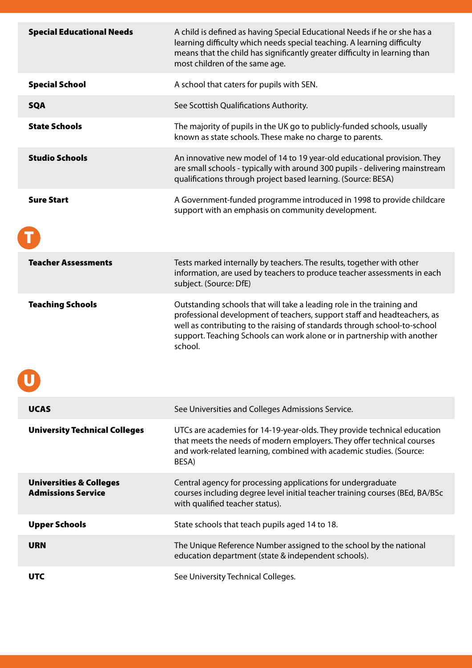| <b>Special Educational Needs</b>                                | A child is defined as having Special Educational Needs if he or she has a<br>learning difficulty which needs special teaching. A learning difficulty<br>means that the child has significantly greater difficulty in learning than<br>most children of the same age.                                                 |
|-----------------------------------------------------------------|----------------------------------------------------------------------------------------------------------------------------------------------------------------------------------------------------------------------------------------------------------------------------------------------------------------------|
| <b>Special School</b>                                           | A school that caters for pupils with SEN.                                                                                                                                                                                                                                                                            |
| <b>SQA</b>                                                      | See Scottish Qualifications Authority.                                                                                                                                                                                                                                                                               |
| <b>State Schools</b>                                            | The majority of pupils in the UK go to publicly-funded schools, usually<br>known as state schools. These make no charge to parents.                                                                                                                                                                                  |
| <b>Studio Schools</b>                                           | An innovative new model of 14 to 19 year-old educational provision. They<br>are small schools - typically with around 300 pupils - delivering mainstream<br>qualifications through project based learning. (Source: BESA)                                                                                            |
| <b>Sure Start</b>                                               | A Government-funded programme introduced in 1998 to provide childcare<br>support with an emphasis on community development.                                                                                                                                                                                          |
| <b>Teacher Assessments</b>                                      | Tests marked internally by teachers. The results, together with other<br>information, are used by teachers to produce teacher assessments in each<br>subject. (Source: DfE)                                                                                                                                          |
| <b>Teaching Schools</b>                                         | Outstanding schools that will take a leading role in the training and<br>professional development of teachers, support staff and headteachers, as<br>well as contributing to the raising of standards through school-to-school<br>support. Teaching Schools can work alone or in partnership with another<br>school. |
| <b>UCAS</b>                                                     | See Universities and Colleges Admissions Service.                                                                                                                                                                                                                                                                    |
| <b>University Technical Colleges</b>                            | UTCs are academies for 14-19-year-olds. They provide technical education<br>that meets the needs of modern employers. They offer technical courses<br>and work-related learning, combined with academic studies. (Source:<br>BESA)                                                                                   |
| <b>Universities &amp; Colleges</b><br><b>Admissions Service</b> | Central agency for processing applications for undergraduate<br>courses including degree level initial teacher training courses (BEd, BA/BSc<br>with qualified teacher status).                                                                                                                                      |
| <b>Upper Schools</b>                                            | State schools that teach pupils aged 14 to 18.                                                                                                                                                                                                                                                                       |
| <b>URN</b>                                                      | The Unique Reference Number assigned to the school by the national<br>education department (state & independent schools).                                                                                                                                                                                            |
| <b>UTC</b>                                                      | See University Technical Colleges.                                                                                                                                                                                                                                                                                   |